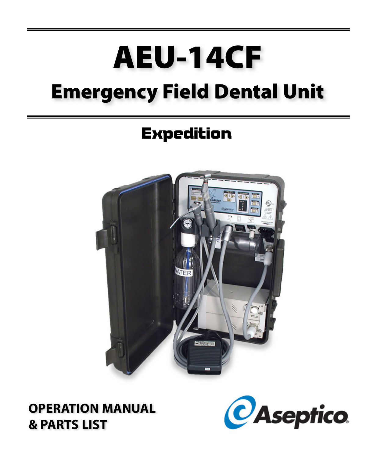# **AEU-14CF Emergency Field Dental Unit**

## **Expedition**



**OPERATION MANUAL & PARTS LIST**

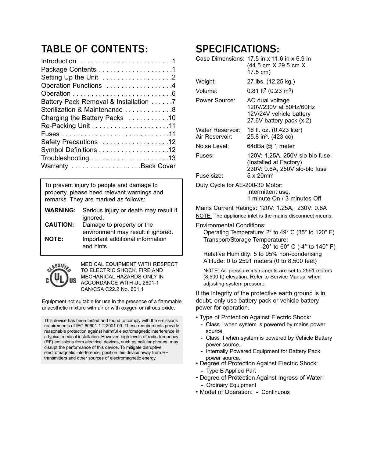### **TABLE OF CONTENTS:**

| Package Contents 1<br>Setting Up the Unit 2<br>Operation Functions 4<br>Battery Pack Removal & Installation 7<br>Sterilization & Maintenance 8<br>Charging the Battery Packs 10<br>Safety Precautions 12 |
|----------------------------------------------------------------------------------------------------------------------------------------------------------------------------------------------------------|
|                                                                                                                                                                                                          |
|                                                                                                                                                                                                          |
|                                                                                                                                                                                                          |
|                                                                                                                                                                                                          |
|                                                                                                                                                                                                          |
|                                                                                                                                                                                                          |
|                                                                                                                                                                                                          |
|                                                                                                                                                                                                          |
|                                                                                                                                                                                                          |
|                                                                                                                                                                                                          |
|                                                                                                                                                                                                          |
|                                                                                                                                                                                                          |
| Warranty Back Cover                                                                                                                                                                                      |

To prevent injury to people and damage to property, please heed relevant warnings and remarks. They are marked as follows:

|                 | <b>WARNING:</b> Serious injury or death may result if                                |
|-----------------|--------------------------------------------------------------------------------------|
| <b>CAUTION:</b> | ignored.<br>Damage to property or the                                                |
| <b>NOTE:</b>    | environment may result if ignored.<br>Important additional information<br>and hints. |



MEDICAL EQUIPMENT WITH RESPECT TO ELECTRIC SHOCK, FIRE AND MECHANICAL HAZARDS ONLY IN ACCORDANCE WITH UL 2601-1 CAN/CSA C22.2 No. 601.1

Equipment not suitable for use in the presence of a flammable anaesthetic mixture with air or with oxygen or nitrous oxide.

This device has been tested and found to comply with the emissions requirements of IEC 60601-1-2:2001-09. These requirements provide reasonable protection against harmful electromagnetic interference in a typical medical installation. However, high levels of radio-frequency (RF) emissions from electrical devices, such as cellular phones, may disrupt the performance of this device. To mitigate disruptive electromagnetic interference, position this device away from RF transmitters and other sources of electromagnetic energy.

#### **SPECIFICATIONS:**

|                                                | Case Dimensions: $17.5$ in x $11.6$ in x 6.9 in<br>(44.5 cm X 29.5 cm X<br>17.5 cm)              |  |
|------------------------------------------------|--------------------------------------------------------------------------------------------------|--|
| Weight:                                        | 27 lbs. (12.25 kg.)                                                                              |  |
| Volume:                                        | $0.81 \text{ ft}^3 \ (0.23 \text{ m}^3)$                                                         |  |
| Power Source:                                  | AC dual voltage<br>120V/230V at 50Hz/60Hz<br>12V/24V vehicle battery<br>27.6V battery pack (x 2) |  |
| Water Reservoir:<br>Air Reservoir:             | 16 fl. oz. (0.423 liter)<br>25.8 in <sup>3</sup> . (423 cc)                                      |  |
| Noise Level:                                   | 64dBa @ 1 meter                                                                                  |  |
| Fuses:                                         | 120V: 1.25A, 250V slo-blo fuse<br>(Installed at Factory)<br>230V: 0.6A, 250V slo-blo fuse        |  |
| Fuse size:                                     | 5 x 20mm                                                                                         |  |
| Duty Cycle for AE-200-30 Motor:                | Intermittent use:<br>1 minute On / 3 minutes Off                                                 |  |
| Mains Current Ratings: 120V: 1.25A, 230V: 0.6A |                                                                                                  |  |

NOTE: The appliance inlet is the mains disconnect means.

#### Environmental Conditions:

Operating Temperature: 2° to 49° C (35° to 120° F) Transport/Storage Temperature:

-20° to 60° C (-4° to 140° F)

Relative Humidity: 5 to 95% non-condensing Altitude: 0 to 2591 meters (0 to 8,500 feet)

NOTE: Air pressure instruments are set to 2591 meters (8,500 ft) elevation. Refer to Service Manual when adjusting system pressure.

If the integrity of the protective earth ground is in doubt, only use battery pack or vehicle battery power for operation.

- Type of Protection Against Electric Shock:
	- Class I when system is powered by mains power source.
	- **-** Class II when system is powered by Vehicle Battery power source.
	- **-** Internally Powered Equipment for Battery Pack power source.
- Degree of Protection Against Electric Shock: **-** Type B Applied Part
- Degree of Protection Against Ingress of Water:
	- **-** Ordinary Equipment
- Model of Operation: **-** Continuous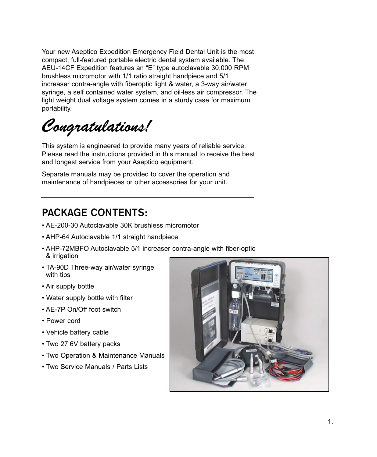Your new Aseptico Expedition Emergency Field Dental Unit is the most compact, full-featured portable electric dental system available. The AEU-14CF Expedition features an "E" type autoclavable 30,000 RPM brushless micromotor with 1/1 ratio straight handpiece and 5/1 increaser contra-angle with fiberoptic light & water, a 3-way air/water syringe, a self contained water system, and oil-less air compressor. The light weight dual voltage system comes in a sturdy case for maximum portability.

*Congratulations!*

This system is engineered to provide many years of reliable service. Please read the instructions provided in this manual to receive the best and longest service from your Aseptico equipment.

Separate manuals may be provided to cover the operation and maintenance of handpieces or other accessories for your unit.

#### **PACKAGE CONTENTS:**

- AE-200-30 Autoclavable 30K brushless micromotor
- AHP-64 Autoclavable 1/1 straight handpiece
- AHP-72MBFO Autoclavable 5/1 increaser contra-angle with fiber-optic & irrigation
- TA-90D Three-way air/water syringe with tips
- Air supply bottle
- Water supply bottle with filter
- AE-7P On/Off foot switch
- Power cord
- Vehicle battery cable
- Two 27.6V battery packs
- Two Operation & Maintenance Manuals
- Two Service Manuals / Parts Lists

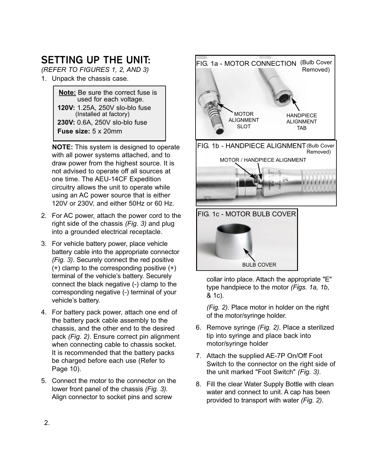## **SETTING UP THE UNIT:**

*(REFER TO FIGURES 1, 2, AND 3)*

1. Unpack the chassis case.

**Note:** Be sure the correct fuse is used for each voltage. **120V:** 1.25A, 250V slo-blo fuse (Installed at factory) **230V:** 0.6A, 250V slo-blo fuse **Fuse size:** 5 x 20mm

**NOTE:** This system is designed to operate with all power systems attached, and to draw power from the highest source. It is not advised to operate off all sources at one time. The AEU-14CF Expedition circuitry allows the unit to operate while using an AC power source that is either 120V or 230V, and either 50Hz or 60 Hz.

- 2. For AC power, attach the power cord to the right side of the chassis *(Fig. 3)* and plug into a grounded electrical receptacle.
- 3. For vehicle battery power, place vehicle battery cable into the appropriate connector *(Fig. 3)*. Securely connect the red positive (+) clamp to the corresponding positive (+) terminal of the vehicle's battery. Securely connect the black negative (-) clamp to the corresponding negative (-) terminal of your vehicle's battery.
- 4. For battery pack power, attach one end of the battery pack cable assembly to the chassis, and the other end to the desired pack *(Fig. 2)*. Ensure correct pin alignment when connecting cable to chassis socket. It is recommended that the battery packs be charged before each use (Refer to Page 10).
- 5. Connect the motor to the connector on the lower front panel of the chassis *(Fig. 3).* Align connector to socket pins and screw





collar into place. Attach the appropriate "E" type handpiece to the motor *(Figs. 1a, 1b*, & 1c).

*(Fig. 2)*. Place motor in holder on the right of the motor/syringe holder.

- 6. Remove syringe *(Fig. 2)*. Place a sterilized tip into syringe and place back into motor/syringe holder
- 7. Attach the supplied AE-7P On/Off Foot Switch to the connector on the right side of the unit marked "Foot Switch" *(Fig. 3)*.
- 8. Fill the clear Water Supply Bottle with clean water and connect to unit. A cap has been provided to transport with water *(Fig. 2)*.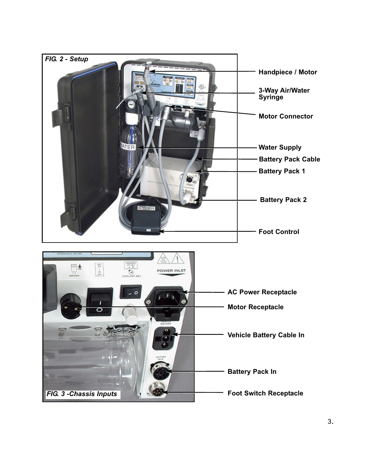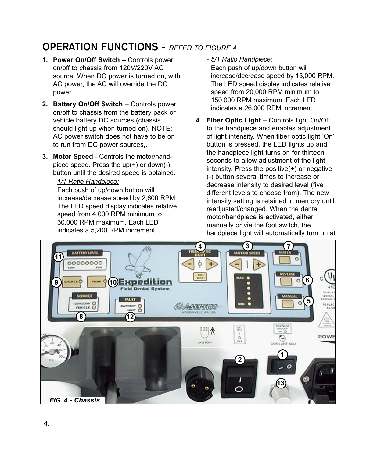#### **OPERATION FUNCTIONS -** *REFER TO FIGURE 4*

- **1. Power On/Off Switch** Controls power on/off to chassis from 120V/220V AC source. When DC power is turned on, with AC power, the AC will override the DC power.
- **2. Battery On/Off Switch** Controls power on/off to chassis from the battery pack or vehicle battery DC sources (chassis should light up when turned on). NOTE: AC power switch does not have to be on to run from DC power sources,.
- **3. Motor Speed** Controls the motor/handpiece speed. Press the up(+) or down(-) button until the desired speed is obtained.
	- *1/1 Ratio Handpiece:* Each push of up/down button will increase/decrease speed by 2,600 RPM. The LED speed display indicates relative speed from 4,000 RPM minimum to 30,000 RPM maximum. Each LED indicates a 5,200 RPM increment.

*- 5/1 Ratio Handpiece:*

Each push of up/down button will increase/decrease speed by 13,000 RPM. The LED speed display indicates relative speed from 20,000 RPM minimum to 150,000 RPM maximum. Each LED indicates a 26,000 RPM increment.

**4. Fiber Optic Light** – Controls light On/Off to the handpiece and enables adjustment of light intensity. When fiber optic light 'On' button is pressed, the LED lights up and the handpiece light turns on for thirteen seconds to allow adjustment of the light intensity. Press the positive(+) or negative (-) button several times to increase or decrease intensity to desired level (five different levels to choose from). The new intensity setting is retained in memory until readjusted/changed. When the dental motor/handpiece is activated, either manually or via the foot switch, the handpiece light will automatically turn on at

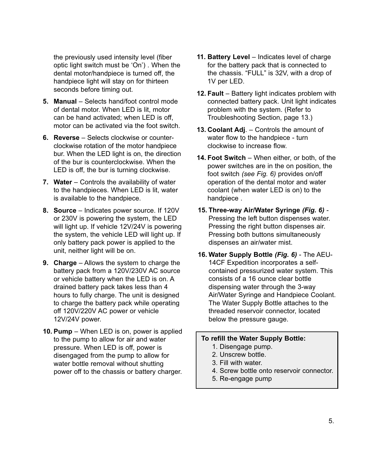the previously used intensity level (fiber optic light switch must be 'On') . When the dental motor/handpiece is turned off, the handpiece light will stay on for thirteen seconds before timing out.

- **5. Manual** Selects hand/foot control mode of dental motor. When LED is lit, motor can be hand activated; when LED is off, motor can be activated via the foot switch.
- **6. Reverse** Selects clockwise or counterclockwise rotation of the motor handpiece bur. When the LED light is on, the direction of the bur is counterclockwise. When the LED is off, the bur is turning clockwise.
- **7. Water** Controls the availability of water to the handpieces. When LED is lit, water is available to the handpiece.
- **8. Source** Indicates power source. If 120V or 230V is powering the system, the LED will light up. If vehicle 12V/24V is powering the system, the vehicle LED will light up. If only battery pack power is applied to the unit, neither light will be on.
- **9. Charge** Allows the system to charge the battery pack from a 120V/230V AC source or vehicle battery when the LED is on. A drained battery pack takes less than 4 hours to fully charge. The unit is designed to charge the battery pack while operating off 120V/220V AC power or vehicle 12V/24V power.
- **10. Pump** When LED is on, power is applied to the pump to allow for air and water pressure. When LED is off, power is disengaged from the pump to allow for water bottle removal without shutting power off to the chassis or battery charger.
- **11. Battery Level** Indicates level of charge for the battery pack that is connected to the chassis. "FULL" is 32V, with a drop of 1V per LED.
- **12. Fault** Battery light indicates problem with connected battery pack. Unit light indicates problem with the system. (Refer to Troubleshooting Section, page 13.)
- **13. Coolant Adj**. Controls the amount of water flow to the handpiece - turn clockwise to increase flow.
- **14. Foot Switch** When either, or both, of the power switches are in the on position, the foot switch *(see Fig. 6)* provides on/off operation of the dental motor and water coolant (when water LED is on) to the handpiece .
- **15. Three-way Air/Water Syringe** *(Fig. 6)* Pressing the left button dispenses water. Pressing the right button dispenses air. Pressing both buttons simultaneously dispenses an air/water mist.
- **16. Water Supply Bottle** *(Fig. 6)* The AEU-14CF Expedition incorporates a selfcontained pressurized water system. This consists of a 16 ounce clear bottle dispensing water through the 3-way Air/Water Syringe and Handpiece Coolant. The Water Supply Bottle attaches to the threaded reservoir connector, located below the pressure gauge.

#### **To refill the Water Supply Bottle:**

- 1. Disengage pump.
- 2. Unscrew bottle.
- 3. Fill with water.
- 4. Screw bottle onto reservoir connector.
- 5. Re-engage pump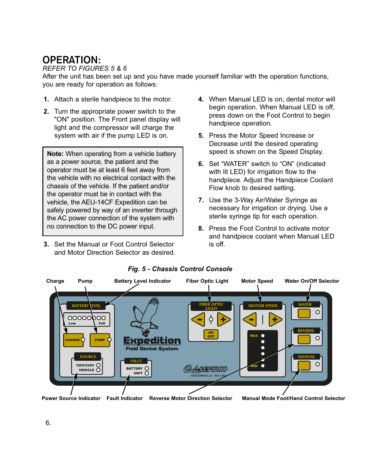#### **OPERATION:**

#### *REFER TO FIGURES 5 & 6*

After the unit has been set up and you have made yourself familiar with the operation functions, you are ready for operation as follows:

- **1.** Attach a sterile handpiece to the motor.
- **2.** Turn the appropriate power switch to the "ON" position. The Front panel display will light and the compressor will charge the system with air if the pump LED is on.

**Note:** When operating from a vehicle battery as a power source, the patient and the operator must be at least 6 feet away from the vehicle with no electrical contact with the chassis of the vehicle. If the patient and/or the operator must be in contact with the vehicle, the AEU-14CF Expedition can be safely powered by way of an inverter through the AC power connection of the system with no connection to the DC power input.

**3.** Set the Manual or Foot Control Selector and Motor Direction Selector as desired.

- **4.** When Manual LED is on, dental motor will begin operation. When Manual LED is off, press down on the Foot Control to begin handpiece operation.
- **5.** Press the Motor Speed Increase or Decrease until the desired operating speed is shown on the Speed Display.
- **6.** Set "WATER" switch to "ON" (indicated with lit LED) for irrigation flow to the handpiece. Adjust the Handpiece Coolant Flow knob to desired setting.
- **7.** Use the 3-Way Air/Water Syringe as necessary for irrigation or drying. Use a sterile syringe tip for each operation.
- **8.** Press the Foot Control to activate motor and handpiece coolant when Manual LED is off.



#### *Fig. 5 - Chassis Control Console*

**Power Source Indicator Fault Indicator Manual Mode Foot/Hand Control Selector**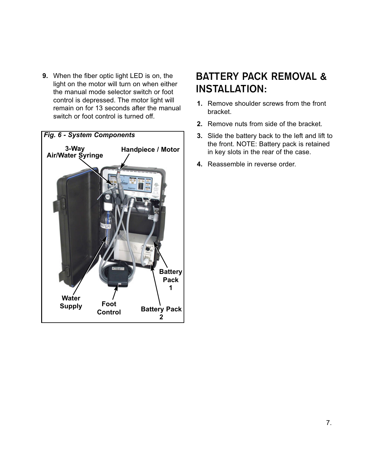**9.** When the fiber optic light LED is on, the light on the motor will turn on when either the manual mode selector switch or foot control is depressed. The motor light will remain on for 13 seconds after the manual switch or foot control is turned off.



#### **BATTERY PACK REMOVAL & INSTALLATION:**

- **1.** Remove shoulder screws from the front bracket.
- **2.** Remove nuts from side of the bracket.
- **3.** Slide the battery back to the left and lift to the front. NOTE: Battery pack is retained in key slots in the rear of the case.
- **4.** Reassemble in reverse order.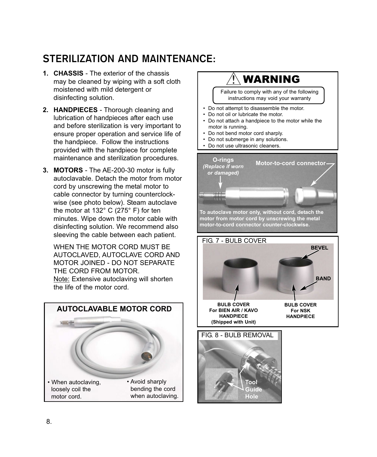## **STERILIZATION AND MAINTENANCE:**

- **1. CHASSIS** The exterior of the chassis may be cleaned by wiping with a soft cloth moistened with mild detergent or disinfecting solution.
- **2. HANDPIECES** Thorough cleaning and lubrication of handpieces after each use and before sterilization is very important to ensure proper operation and service life of the handpiece. Follow the instructions provided with the handpiece for complete maintenance and sterilization procedures.
- **3. MOTORS** The AE-200-30 motor is fully autoclavable. Detach the motor from motor cord by unscrewing the metal motor to cable connector by turning counterclockwise (see photo below). Steam autoclave the motor at 132° C (275° F) for ten minutes. Wipe down the motor cable with disinfecting solution. We recommend also sleeving the cable between each patient.

WHEN THE MOTOR CORD MUST BE AUTOCLAVED, AUTOCLAVE CORD AND MOTOR JOINED - DO NOT SEPARATE THE CORD FROM MOTOR. Note: Extensive autoclaving will shorten the life of the motor cord.



## WARNING

Failure to comply with any of the following instructions may void your warranty

- Do not attempt to disassemble the motor.
- Do not oil or lubricate the motor.
- Do not attach a handpiece to the motor while the motor is running.
- Do not bend motor cord sharply.
- Do not submerge in any solutions.
- Do not use ultrasonic cleaners.



**motor from motor cord by unscrewing the metal motor-to-cord connector counter-clockwise.**



**Tool Guide Hole**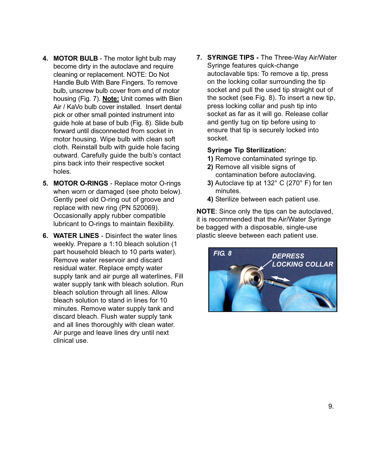- **4. MOTOR BULB** The motor light bulb may become dirty in the autoclave and require cleaning or replacement. NOTE: Do Not Handle Bulb With Bare Fingers. To remove bulb, unscrew bulb cover from end of motor housing (Fig. 7). **Note:** Unit comes with Bien Air / KaVo bulb cover installed. Insert dental pick or other small pointed instrument into guide hole at base of bulb (Fig. 8). Slide bulb forward until disconnected from socket in motor housing. Wipe bulb with clean soft cloth. Reinstall bulb with guide hole facing outward. Carefully guide the bulb's contact pins back into their respective socket holes.
- **5. MOTOR O-RINGS** Replace motor O-rings when worn or damaged (see photo below). Gently peel old O-ring out of groove and replace with new ring (PN 520069). Occasionally apply rubber compatible lubricant to O-rings to maintain flexibility.
- **6. WATER LINES** Disinfect the water lines weekly. Prepare a 1:10 bleach solution (1 part household bleach to 10 parts water). Remove water reservoir and discard residual water. Replace empty water supply tank and air purge all waterlines. Fill water supply tank with bleach solution. Run bleach solution through all lines. Allow bleach solution to stand in lines for 10 minutes. Remove water supply tank and discard bleach. Flush water supply tank and all lines thoroughly with clean water. Air purge and leave lines dry until next clinical use.

**7. SYRINGE TIPS -** The Three-Way Air/Water Syringe features quick-change autoclavable tips: To remove a tip, press on the locking collar surrounding the tip socket and pull the used tip straight out of the socket (see Fig. 8). To insert a new tip, press locking collar and push tip into socket as far as it will go. Release collar and gently tug on tip before using to ensure that tip is securely locked into socket.

#### **Syringe Tip Sterilization:**

- **1)** Remove contaminated syringe tip.
- **2)** Remove all visible signs of contamination before autoclaving.
- **3)** Autoclave tip at 132° C (270° F) for ten minutes.
- **4)** Sterilize between each patient use.

**NOTE**: Since only the tips can be autoclaved, it is recommended that the Air/Water Syringe be bagged with a disposable, single-use plastic sleeve between each patient use.

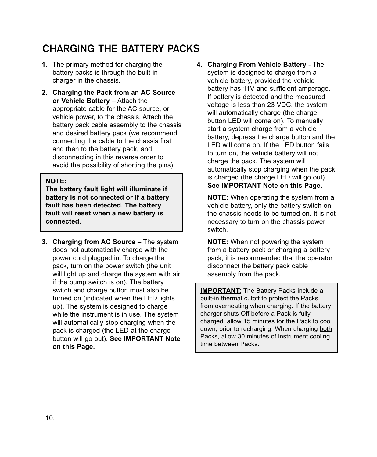## **CHARGING THE BATTERY PACKS**

- **1.** The primary method for charging the battery packs is through the built-in charger in the chassis.
- **2. Charging the Pack from an AC Source or Vehicle Battery** – Attach the appropriate cable for the AC source, or vehicle power, to the chassis. Attach the battery pack cable assembly to the chassis and desired battery pack (we recommend connecting the cable to the chassis first and then to the battery pack, and disconnecting in this reverse order to avoid the possibility of shorting the pins).

#### **NOTE:**

**The battery fault light will illuminate if battery is not connected or if a battery fault has been detected. The battery fault will reset when a new battery is connected.**

**3. Charging from AC Source** – The system does not automatically charge with the power cord plugged in. To charge the pack, turn on the power switch (the unit will light up and charge the system with air if the pump switch is on). The battery switch and charge button must also be turned on (indicated when the LED lights up). The system is designed to charge while the instrument is in use. The system will automatically stop charging when the pack is charged (the LED at the charge button will go out). **See IMPORTANT Note on this Page.**

**4. Charging From Vehicle Battery** - The system is designed to charge from a vehicle battery, provided the vehicle battery has 11V and sufficient amperage. If battery is detected and the measured voltage is less than 23 VDC, the system will automatically charge (the charge button LED will come on). To manually start a system charge from a vehicle battery, depress the charge button and the LED will come on. If the LED button fails to turn on, the vehicle battery will not charge the pack. The system will automatically stop charging when the pack is charged (the charge LED will go out). **See IMPORTANT Note on this Page.**

**NOTE:** When operating the system from a vehicle battery, only the battery switch on the chassis needs to be turned on. It is not necessary to turn on the chassis power switch.

**NOTE:** When not powering the system from a battery pack or charging a battery pack, it is recommended that the operator disconnect the battery pack cable assembly from the pack.

**IMPORTANT:** The Battery Packs include a built-in thermal cutoff to protect the Packs from overheating when charging. If the battery charger shuts Off before a Pack is fully charged, allow 15 minutes for the Pack to cool down, prior to recharging. When charging both Packs, allow 30 minutes of instrument cooling time between Packs.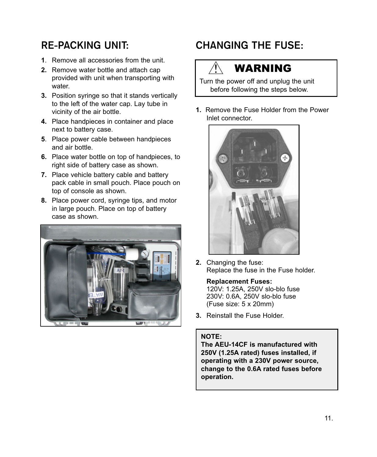### **RE-PACKING UNIT:**

- **1**. Remove all accessories from the unit.
- **2.** Remove water bottle and attach cap provided with unit when transporting with water.
- **3.** Position syringe so that it stands vertically to the left of the water cap. Lay tube in vicinity of the air bottle.
- **4.** Place handpieces in container and place next to battery case.
- **5**. Place power cable between handpieces and air bottle.
- **6.** Place water bottle on top of handpieces, to right side of battery case as shown.
- **7.** Place vehicle battery cable and battery pack cable in small pouch. Place pouch on top of console as shown.
- **8.** Place power cord, syringe tips, and motor in large pouch. Place on top of battery case as shown.



## **CHANGING THE FUSE:**

## WARNING

Turn the power off and unplug the unit before following the steps below.

**1.** Remove the Fuse Holder from the Power Inlet connector.



**2.** Changing the fuse: Replace the fuse in the Fuse holder.

#### **Replacement Fuses:**

120V: 1.25A, 250V slo-blo fuse 230V: 0.6A, 250V slo-blo fuse (Fuse size: 5 x 20mm)

**3.** Reinstall the Fuse Holder.

#### **NOTE:**

**The AEU-14CF is manufactured with 250V (1.25A rated) fuses installed, if operating with a 230V power source, change to the 0.6A rated fuses before operation.**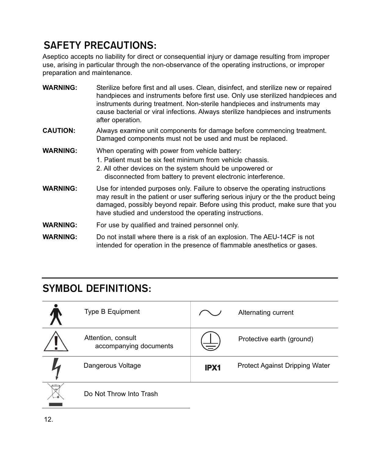## **SAFETY PRECAUTIONS:**

Aseptico accepts no liability for direct or consequential injury or damage resulting from improper use, arising in particular through the non-observance of the operating instructions, or improper preparation and maintenance.

| <b>WARNING:</b> | Sterilize before first and all uses. Clean, disinfect, and sterilize new or repaired<br>handpieces and instruments before first use. Only use sterilized handpieces and<br>instruments during treatment. Non-sterile handpieces and instruments may<br>cause bacterial or viral infections. Always sterilize handpieces and instruments<br>after operation. |
|-----------------|-------------------------------------------------------------------------------------------------------------------------------------------------------------------------------------------------------------------------------------------------------------------------------------------------------------------------------------------------------------|
| <b>CAUTION:</b> | Always examine unit components for damage before commencing treatment.<br>Damaged components must not be used and must be replaced.                                                                                                                                                                                                                         |
| <b>WARNING:</b> | When operating with power from vehicle battery:<br>1. Patient must be six feet minimum from vehicle chassis.<br>2. All other devices on the system should be unpowered or<br>disconnected from battery to prevent electronic interference.                                                                                                                  |
| <b>WARNING:</b> | Use for intended purposes only. Failure to observe the operating instructions<br>may result in the patient or user suffering serious injury or the the product being<br>damaged, possibly beyond repair. Before using this product, make sure that you<br>have studied and understood the operating instructions.                                           |

- **WARNING:** For use by qualified and trained personnel only.
- **WARNING:** Do not install where there is a risk of an explosion. The AEU-14CF is not intended for operation in the presence of flammable anesthetics or gases.

## **SYMBOL DEFINITIONS:**

| Type B Equipment                             |      | Alternating current                   |
|----------------------------------------------|------|---------------------------------------|
| Attention, consult<br>accompanying documents | 言    | Protective earth (ground)             |
| Dangerous Voltage                            | IPX1 | <b>Protect Against Dripping Water</b> |
| Do Not Throw Into Trash                      |      |                                       |

**Contract Contract**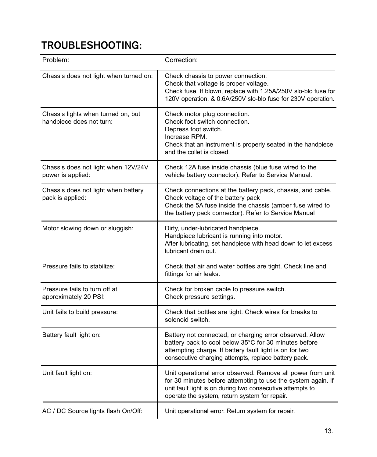## **TROUBLESHOOTING:**

| Problem:                                                       | Correction:                                                                                                                                                                                                                               |
|----------------------------------------------------------------|-------------------------------------------------------------------------------------------------------------------------------------------------------------------------------------------------------------------------------------------|
| Chassis does not light when turned on:                         | Check chassis to power connection.<br>Check that voltage is proper voltage.<br>Check fuse. If blown, replace with 1.25A/250V slo-blo fuse for<br>120V operation, & 0.6A/250V slo-blo fuse for 230V operation.                             |
| Chassis lights when turned on, but<br>handpiece does not turn: | Check motor plug connection.<br>Check foot switch connection.<br>Depress foot switch.<br>Increase RPM.<br>Check that an instrument is properly seated in the handpiece<br>and the collet is closed.                                       |
| Chassis does not light when 12V/24V<br>power is applied:       | Check 12A fuse inside chassis (blue fuse wired to the<br>vehicle battery connector). Refer to Service Manual.                                                                                                                             |
| Chassis does not light when battery<br>pack is applied:        | Check connections at the battery pack, chassis, and cable.<br>Check voltage of the battery pack<br>Check the 5A fuse inside the chassis (amber fuse wired to<br>the battery pack connector). Refer to Service Manual                      |
| Motor slowing down or sluggish:                                | Dirty, under-lubricated handpiece.<br>Handpiece lubricant is running into motor.<br>After lubricating, set handpiece with head down to let excess<br>lubricant drain out.                                                                 |
| Pressure fails to stabilize:                                   | Check that air and water bottles are tight. Check line and<br>fittings for air leaks.                                                                                                                                                     |
| Pressure fails to turn off at<br>approximately 20 PSI:         | Check for broken cable to pressure switch.<br>Check pressure settings.                                                                                                                                                                    |
| Unit fails to build pressure:                                  | Check that bottles are tight. Check wires for breaks to<br>solenoid switch.                                                                                                                                                               |
| Battery fault light on:                                        | Battery not connected, or charging error observed. Allow<br>battery pack to cool below 35°C for 30 minutes before<br>attempting charge. If battery fault light is on for two<br>consecutive charging attempts, replace battery pack.      |
| Unit fault light on:                                           | Unit operational error observed. Remove all power from unit<br>for 30 minutes before attempting to use the system again. If<br>unit fault light is on during two consecutive attempts to<br>operate the system, return system for repair. |
| AC / DC Source lights flash On/Off:                            | Unit operational error. Return system for repair.                                                                                                                                                                                         |